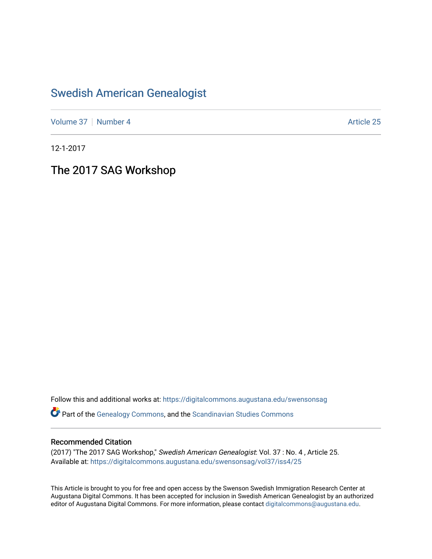## [Swedish American Genealogist](https://digitalcommons.augustana.edu/swensonsag)

[Volume 37](https://digitalcommons.augustana.edu/swensonsag/vol37) | [Number 4](https://digitalcommons.augustana.edu/swensonsag/vol37/iss4) Article 25

12-1-2017

The 2017 SAG Workshop

Follow this and additional works at: [https://digitalcommons.augustana.edu/swensonsag](https://digitalcommons.augustana.edu/swensonsag?utm_source=digitalcommons.augustana.edu%2Fswensonsag%2Fvol37%2Fiss4%2F25&utm_medium=PDF&utm_campaign=PDFCoverPages) 

Part of the [Genealogy Commons,](http://network.bepress.com/hgg/discipline/1342?utm_source=digitalcommons.augustana.edu%2Fswensonsag%2Fvol37%2Fiss4%2F25&utm_medium=PDF&utm_campaign=PDFCoverPages) and the [Scandinavian Studies Commons](http://network.bepress.com/hgg/discipline/485?utm_source=digitalcommons.augustana.edu%2Fswensonsag%2Fvol37%2Fiss4%2F25&utm_medium=PDF&utm_campaign=PDFCoverPages)

## Recommended Citation

(2017) "The 2017 SAG Workshop," Swedish American Genealogist: Vol. 37 : No. 4 , Article 25. Available at: [https://digitalcommons.augustana.edu/swensonsag/vol37/iss4/25](https://digitalcommons.augustana.edu/swensonsag/vol37/iss4/25?utm_source=digitalcommons.augustana.edu%2Fswensonsag%2Fvol37%2Fiss4%2F25&utm_medium=PDF&utm_campaign=PDFCoverPages) 

This Article is brought to you for free and open access by the Swenson Swedish Immigration Research Center at Augustana Digital Commons. It has been accepted for inclusion in Swedish American Genealogist by an authorized editor of Augustana Digital Commons. For more information, please contact [digitalcommons@augustana.edu.](mailto:digitalcommons@augustana.edu)